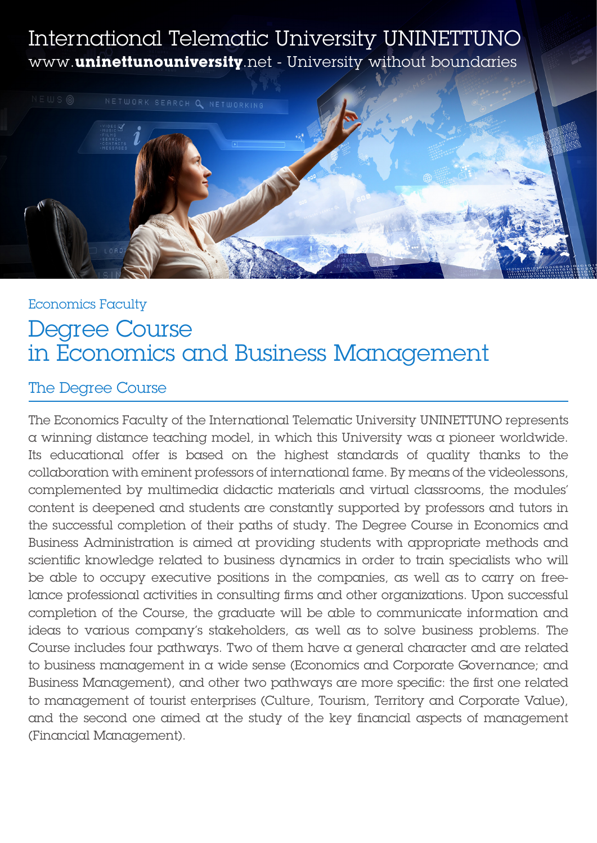# International Telematic University UNINETTUNO www.**uninettunouniversity**.net - University without boundaries



# Economics Faculty Degree Course in Economics and Business Management

# The Degree Course

The Economics Faculty of the International Telematic University UNINETTUNO represents a winning distance teaching model, in which this University was a pioneer worldwide. Its educational offer is based on the highest standards of quality thanks to the collaboration with eminent professors of international fame. By means of the videolessons, complemented by multimedia didactic materials and virtual classrooms, the modules' content is deepened and students are constantly supported by professors and tutors in the successful completion of their paths of study. The Degree Course in Economics and Business Administration is aimed at providing students with appropriate methods and scientific knowledge related to business dynamics in order to train specialists who will be able to occupy executive positions in the companies, as well as to carry on freelance professional activities in consulting firms and other organizations. Upon successful completion of the Course, the graduate will be able to communicate information and ideas to various company's stakeholders, as well as to solve business problems. The Course includes four pathways. Two of them have a general character and are related to business management in a wide sense (Economics and Corporate Governance; and Business Management), and other two pathways are more specific: the first one related to management of tourist enterprises (Culture, Tourism, Territory and Corporate Value), and the second one aimed at the study of the key financial aspects of management (Financial Management).